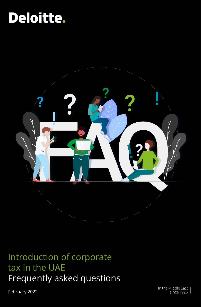# Deloitte.



### Introduction of corporate tax in the UAE Frequently asked questions

February 2022

In the Middle East since 1926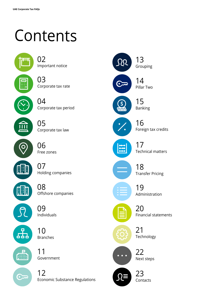# Contents



Important notice 02

Corporate tax rate 03



Corporate tax period

Corporate tax law 05



 $\left\Vert \cdot\right\Vert$ 

55,

Holding companies 07

Offshore companies 08

Individuals 09

Branches 10

Government 11

Economic Substance Regulations 12

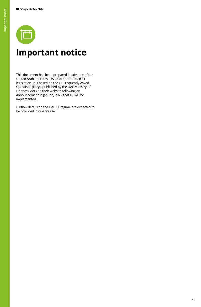

### **Important notice**

This document has been prepared in advance of the United Arab Emirates (UAE) Corporate Tax (CT) legislation. It is based on the CT Frequently Asked Questions (FAQs) published by the UAE Ministry of Finance (MoF) on their website following an announcement in January 2022 that CT will be implemented.

Further details on the UAE CT regime are expected to be provided in due course.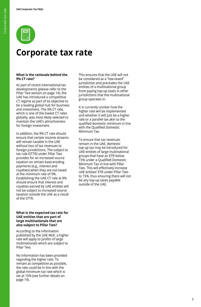

### **Corporate tax rate**

### **What is the rationale behind the 9% CT rate?**

As part of recent international tax developments (please refer to the Pillar Two section on page 14), the UAE has introduced a competitive CT regime as part of its objective to be a leading global hub for business and investment. The 9% CT rate, which is one of the lowest CT rates globally, was most likely selected to maintain the UAE's attractiveness for foreign investment.

In addition, the 9% CT rate should ensure that certain income streams will remain taxable in the UAE without loss of tax revenues to foreign jurisdictions. The subject to tax rule (STTR) under Pillar Two provides for an increased source taxation on certain base-eroding payments (e.g., interest and royalties) when they are not taxed at the minimum rate of 9%. Establishing the UAE CT rate at 9% should ensure that interest and royalties earned by UAE entities will not be subject to increased source taxation outside the UAE as a result of the STTR.

#### **What is the expected tax rate for UAE entities that are part of large multinationals that are also subject to Pillar Two?**

According to the information published by the UAE MoF, a higher rate will apply to profits of large multinationals which are subject to Pillar Two.

No information has been provided regarding the higher rate. To remain as competitive as possible, the rate could be in line with the global minimum tax rate which is set at 15% (see further details on page 14).

This ensures that the UAE will not be considered as a "low-taxed" jurisdiction and precludes the UAE entities of a multinational group from paying top-up taxes in other jurisdictions that the multinational group operates in.

It is currently unclear how the higher rate will be implemented and whether it will just be a higher rate or a parallel tax akin to the qualified domestic minimum in line with the Qualified Domestic Minimum Tax.

To ensure that tax revenues remain in the UAE, domestic top-up tax may be introduced for UAE entities of large multinational groups that have an ETR below 15% under a Qualified Domestic Minimum Tax in line with Pillar Two. This will effectively increase UAE entities' ETR under Pillar Two to 15%, thus ensuring there will not be any top-up taxes payable outside of the UAE.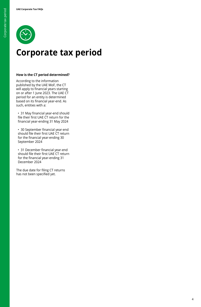

### **Corporate tax period**

### **How is the CT period determined?**

According to the information published by the UAE MoF, the CT will apply to financial years starting on or after 1 June 2023. The UAE CT period for an entity is determined based on its financial year-end. As such, entities with a:

 • 31 May financial year-end should file their first UAE CT return for the financial year-ending 31 May 2024

 • 30 September financial year-end should file their first UAE CT return for the financial year-ending 30 September 2024

 • 31 December financial year-end should file their first UAE CT return for the financial year-ending 31 December 2024

The due date for filing CT returns has not been specified yet.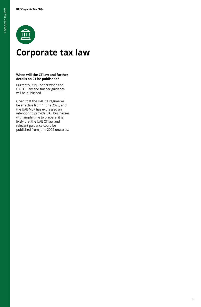

### **Corporate tax law**

### **When will the CT law and further details on CT be published?**

Currently, it is unclear when the UAE CT law and further guidance will be published.

Given that the UAE CT regime will be effective from 1 June 2023, and the UAE MoF has expressed an intention to provide UAE businesses with ample time to prepare, it is likely that the UAE CT law and relevant guidance could be published from June 2022 onwards.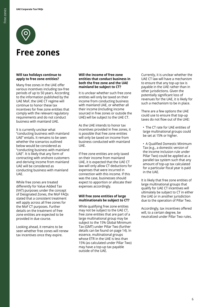

### **Free zones**

### **Will tax holidays continue to apply to free zone entities?**

Many free zones in the UAE offer various incentives including tax-free periods of up to 50 years. According to the information published by the UAE MoF, the UAE CT regime will continue to honor these tax incentives for free zone entities that comply with the relevant regulatory requirements and do not conduct business with mainland UAE.

It is currently unclear what "conducting business with mainland UAE" entails. It remains to be seen whether the scenarios outlined below would be considered as "conducting business with mainland UAE". It is likely that any form of contracting with onshore customers and deriving income from mainland UAE will be considered as conducting business with mainland UAE.

While free zones are treated differently for Value Added Tax (VAT) purposes under the concept of Designated Zones, the MoF FAQs stated that a consistent treatment will apply across all free zones for the MoF CT purposes. Further details on the treatment of free zone entities are expected to be provided in due course.

Looking ahead, it remains to be seen whether free zones will renew tax incentives once they expire.

#### **Will the income of free zone entities that conduct business in both the free zone and the UAE mainland be subject to CT?**

It is unclear whether such free zone entities will only be taxed on their income from conducting business with mainland UAE, or whether all their income (including income sourced in free zones or outside the UAE) will be subject to the UAE CT.

As the UAE intends to honor tax incentives provided in free zones, it is possible that free zone entities will only be taxed on income from business conducted with mainland UAE.

If free zone entities are only taxed on their income from mainland UAE, it is expected that the UAE CT law will only allow CT deductions for expenses that were incurred in connection with this income. If this was the case, businesses should expect to apportion or allocate their expenses accordingly.

### **Will free zone entities of large multinationals be subject to CT?**

While qualifying free zone entities may not be subject to the UAE CT, free zone entities that are part of a large multinational group may be subject to the 15% Global Minimum Tax (GMT) under Pillar Two (further details can be found on page 14). In essence, multinational groups whose ETR in the UAE is less than 15% (as calculated under Pillar Two) may have a top-up tax payable outside of the UAE.

Currently, it is unclear whether the UAE CT law will have a mechanism to ensure that any top-up tax is payable in the UAE rather than in other jurisdictions. Given the potentially significant loss of revenues for the UAE, it is likely for such a mechanism to be in place.

There are a few options the UAE could use to ensure that top-up taxes do not flow out of the UAE:

 • The CT rate for UAE entities of large multinational groups could be set at 15% or higher.

 • A Qualified Domestic Minimum Tax (e.g., a domestic version of the income inclusion rule under Pillar Two) could be applied as a parallel tax system such that any amount of top-up tax calculated for a particular fiscal year is paid in the UAE.

It is likely that free zone entities of large multinational groups that qualify for UAE CT incentives will ultimately be subject to CT in either the UAE or in another jurisdiction due to the operation of Pillar Two.

Accordingly, tax incentives offered will, to a certain degree, be neutralized under Pillar Two rules.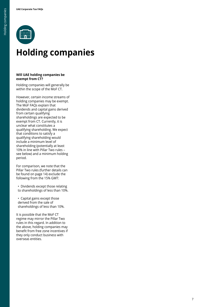

### **Holding companies**

### **Will UAE holding companies be exempt from CT?**

Holding companies will generally be within the scope of the MoF CT.

However, certain income streams of holding companies may be exempt. The MoF FAQs explain that dividends and capital gains derived from certain qualifying shareholdings are expected to be exempt from CT. Currently, it is unclear what constitutes a qualifying shareholding. We expect that conditions to satisfy a qualifying shareholding would include a minimum level of shareholding (potentially at least 10% in line with Pillar Two rules – see below) and a minimum holding period.

For comparison, we note that the Pillar Two rules (further details can be found on page 14) exclude the following from the 15% GMT:

 • Dividends except those relating to shareholdings of less than 10%.

 • Capital gains except those derived from the sale of shareholdings of less than 10%.

It is possible that the MoF CT regime may mirror the Pillar Two rules in this regard. In addition to the above, holding companies may benefit from free zone incentives if they only conduct business with overseas entities.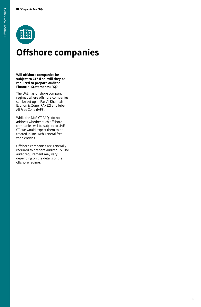

### **Offshore companies**

**Will offshore companies be subject to CT? If so, will they be required to prepare audited Financial Statements (FS)?**

The UAE has offshore company regimes where offshore companies can be set up in Ras Al Khaimah Economic Zone (RAKEZ) and Jebel Ali Free Zone (JAFZ).

While the MoF CT FAQs do not address whether such offshore companies will be subject to UAE CT, we would expect them to be treated in line with general free zone entities.

Offshore companies are generally required to prepare audited FS. The audit requirement may vary depending on the details of the offshore regime.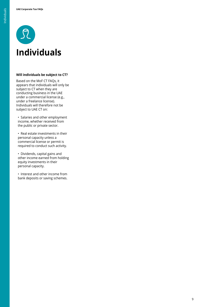

### **Will individuals be subject to CT?**

Based on the MoF CT FAQs, it appears that individuals will only be subject to CT when they are conducting business in the UAE under a commercial license (e.g., under a freelance license). Individuals will therefore not be subject to UAE CT on:

 • Salaries and other employment income, whether received from the public or private sector.

 • Real estate investments in their personal capacity unless a commercial license or permit is required to conduct such activity.

 • Dividends, capital gains and other income earned from holding equity investments in their personal capacity.

 • Interest and other income from bank deposits or saving schemes.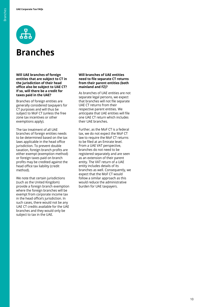

### **Branches**

**Will UAE branches of foreign entities that are subject to CT in the jurisdiction of their head office also be subject to UAE CT? If so, will there be a credit for taxes paid in the UAE?**

Branches of foreign entities are generally considered taxpayers for CT purposes and will thus be subject to MoF CT (unless the free zone tax incentives or other exemptions apply).

The tax treatment of all UAE branches of foreign entities needs to be determined based on the tax laws applicable in the head office jurisdiction. To prevent double taxation, foreign branch profits are either exempt (exemption method) or foreign taxes paid on branch profits may be credited against the head office tax liability (credit method).

We note that certain jurisdictions (such as the United Kingdom) provide a foreign branch exemption where the foreign branches will be exempt from corporate income tax in the head office's jurisdiction. In such cases, there would not be any UAE CT credits available for the UAE branches and they would only be subject to tax in the UAE.

#### **Will branches of UAE entities need to file separate CT returns from their parent entities (both mainland and FZ)?**

As branches of UAE entities are not separate legal persons, we expect that branches will not file separate UAE CT returns from their respective parent entities. We anticipate that UAE entities will file one UAE CT return which includes their UAE branches.

Further, as the MoF CT is a federal tax, we do not expect the MoF CT law to require the MoF CT returns to be filed at an Emirate level. From a UAE VAT perspective, branches do not need to be registered separately and are seen as an extension of their parent entity. The VAT return of a UAE entity includes details of its branches as well. Consequently, we expect that the MoF CT would follow a similar approach as this would reduce the administrative burden for UAE taxpayers.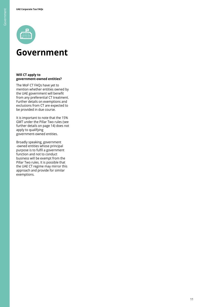

### **Government**

### **Will CT apply to government-owned entities?**

The MoF CT FAQs have yet to mention whether entities owned by the UAE government will benefit from any preferential CT treatment. Further details on exemptions and exclusions from CT are expected to be provided in due course.

It is important to note that the 15% GMT under the Pillar Two rules (see further details on page 14) does not apply to qualifying government-owned entities.

Broadly speaking, government -owned entities whose principal purpose is to fulfil a government function and not to conduct business will be exempt from the Pillar Two rules. It is possible that the UAE CT regime may mirror this approach and provide for similar exemptions.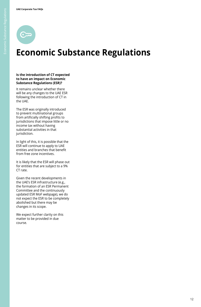

### **Economic Substance Regulations**

#### **Is the introduction of CT expected to have an impact on Economic Substance Regulations (ESR)?**

It remains unclear whether there will be any changes to the UAE ESR following the introduction of CT in the UAE.

The ESR was originally introduced to prevent multinational groups from artificially shifting profits to jurisdictions that impose little or no income tax without having substantial activities in that jurisdiction.

In light of this, it is possible that the ESR will continue to apply to UAE entities and branches that benefit from free zone incentives.

It is likely that the ESR will phase out for entities that are subject to a 9% CT rate.

Given the recent developments in the UAE's ESR infrastructure (e.g., the formation of an ESR Permanent Committee and the continuously updated ESR MoF webpage), we do not expect the ESR to be completely abolished but there may be changes in its scope.

We expect further clarity on this matter to be provided in due course.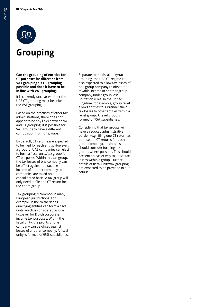

**in line with VAT grouping?**

**Grouping**

It is currently unclear whether the UAE CT grouping must be linked to the VAT grouping.

Based on the practices of other tax administrations, there does not appear to be any links between VAT and CT grouping. It is possible for VAT groups to have a different composition from CT groups.

By default, CT returns are expected to be filed for each entity. However, a group of UAE companies can elect to form a fiscal unity/tax group for CT purposes. Within this tax group, the tax losses of one company can be offset against the taxable income of another company so companies are taxed on a consolidated basis. A tax group will only need to file one CT return for the entire group.

Tax grouping is common in many European jurisdictions. For example, in the Netherlands, qualifying entities can form a fiscal unity which is considered as one taxpayer for Dutch corporate income tax purposes. Within the fiscal unity, the profits of one company can be offset against losses of another company. A fiscal unity is formed of 95% subsidiaries. Separate to the fiscal unity/tax grouping, the UAE CT regime is also expected to allow tax losses of one group company to offset the taxable income of another group company under group loss utilization rules. In the United Kingdom, for example, group relief allows entities to surrender their tax losses to other entities within a relief group. A relief group is formed of 75% subsidiaries.

Considering that tax groups will have a reduced administrative burden (e.g., filing one CT return as opposed to CT returns for each group company), businesses should consider forming tax groups where possible. This should present an easier way to utilize tax losses within a group. Further details of fiscal unity/tax grouping are expected to be provided in due course.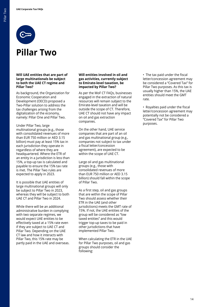

### **Pillar Two**

### **Will UAE entities that are part of large multinationals be subject to both the UAE CT regime and Pillar Two?**

As background, the Organization for Economic Cooperation and Development (OECD) proposed a Two-Pillar solution to address the tax challenges arising from the digitalization of the economy, namely: Pillar One and Pillar Two.

Under Pillar Two, large multinational groups (e.g., those with consolidated revenues of more than EUR 750 million or AED 3.15 billion) must pay at least 15% tax in each jurisdiction they operate in regardless of where they are headquartered. Where the ETR of an entity in a jurisdiction is less than 15%, a top-up tax is calculated and payable to ensure the 15% tax rate is met. The Pillar Two rules are expected to apply in 2023.

It is possible that UAE entities of large multinational groups will only be subject to Pillar Two in 2023, whereas they will be subject to both UAE CT and Pillar Two in 2024.

While there will be an additional administrative burden in complying with two separate regimes, we would expect UAE entities to be effectively taxed at a 15% rate even if they are subject to UAE CT and Pillar Two. Depending on the UAE CT law and how it interacts with Pillar Two, this 15% rate may be partly paid in the UAE and overseas.

#### **Will entities involved in oil and gas activities, currently subject to Emirate-level taxation, be impacted by Pillar Two?**

As per the MoF CT FAQs, businesses engaged in the extraction of natural resources will remain subject to the Emirate-level taxation and will be outside the scope of CT. Therefore, UAE CT should not have any impact on oil and gas extraction companies.

On the other hand, UAE service companies that are part of an oil and gas multinational group (e.g., companies not subject to tax under a fiscal letter/concession agreement), are expected to be within the scope of UAE CT.

Large oil and gas multinational groups (e.g., those with consolidated revenues of more than EUR 750 million or AED 3.15 billion) should fall within the scope of Pillar Two.

As a first step, oil and gas groups that are within the scope of Pillar Two should assess whether their ETR in the UAE (and other jurisdictions) meets the GMT rate of 15%. If not, the UAE entities of the group will be considered as "low taxed entities" and this would trigger top-up taxes to be paid in other jurisdictions that have implemented Pillar Two.

When calculating the ETR in the UAE for Pillar Two purposes, oil and gas groups should consider the following:

 • The tax paid under the fiscal letter/concession agreement may be considered a "Covered Tax" for Pillar Two purposes. As this tax is usually higher than 15%, the UAE entities should meet the GMT rate.

 • Royalties paid under the fiscal letter/concession agreement may potentially not be considered a "Covered Tax" for Pillar Two purposes.

14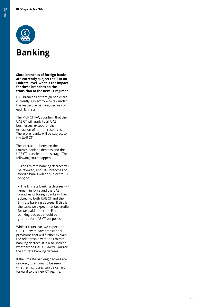

### **Banking**

**Since branches of foreign banks are currently subject to CT at an Emirate level, what is the impact for these branches on the transition to the new CT regime?**

UAE branches of foreign banks are currently subject to 20% tax under the respective banking decrees of each Emirate.

The MoF CT FAQs confirm that the UAE CT will apply to all UAE businesses, except for the extraction of natural resources. Therefore, banks will be subject to the UAE CT.

The interaction between the Emirate banking decrees and the UAE CT is unclear at this stage. The following could happen:

 • The Emirate banking decrees will be revoked, and UAE branches of foreign banks will be subject to CT only; or

 • The Emirate banking decrees will remain in force and the UAE branches of foreign banks will be subject to both UAE CT and the Emirate banking decrees. If this is the case, we expect that tax credits for tax paid under the Emirate banking decrees should be granted for UAE CT purposes.

While it is unclear, we expect the UAE CT law to have transitional provisions that will further explain the relationship with the Emirate banking decrees. It is also unclear whether the UAE CT law will mirror the Emirate banking decrees.

If the Emirate banking decrees are revoked, it remains to be seen whether tax losses can be carried forward to the new CT regime.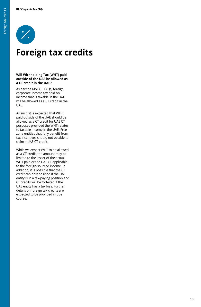

### **Foreign tax credits**

#### **Will Withholding Tax (WHT) paid outside of the UAE be allowed as a CT credit in the UAE?**

As per the MoF CT FAQs, foreign corporate income tax paid on income that is taxable in the UAE will be allowed as a CT credit in the UAE.

As such, it is expected that WHT paid outside of the UAE should be allowed as a CT credit for UAE CT purposes provided the WHT relates to taxable income in the UAE. Free zone entities that fully benefit from tax incentives should not be able to claim a UAE CT credit.

While we expect WHT to be allowed as a CT credit, the amount may be limited to the lesser of the actual WHT paid or the UAE CT applicable to the foreign-sourced income. In addition, it is possible that the CT credit can only be used if the UAE entity is in a tax-paying position and CT credits will be forfeited if the UAE entity has a tax loss. Further details on foreign tax credits are expected to be provided in due course.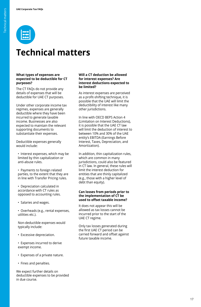

### **Technical matters**

#### **What types of expenses are expected to be deductible for CT purposes?**

The CT FAQs do not provide any details of expenses that will be deductible for UAE CT purposes.

Under other corporate income tax regimes, expenses are generally deductible where they have been incurred to generate taxable income. Businesses are also expected to maintain the relevant supporting documents to substantiate their expenses.

Deductible expenses generally would include:

 • Interest expenses, which may be limited by thin capitalization or anti-abuse rules.

 • Payments to foreign related parties, to the extent that they are in line with Transfer Pricing rules.

 • Depreciation calculated in accordance with CT rules as opposed to accounting rules.

• Salaries and wages.

 • Overheads (e.g., rental expenses, utilities etc.).

 Non-deductible expenses would typically include:

• Excessive depreciation.

 • Expenses incurred to derive exempt income.

- Expenses of a private nature.
- Fines and penalties.

We expect further details on deductible expenses to be provided in due course.

#### **Will a CT deduction be allowed for interest expenses? Are interest deductions expected to be limited?**

As interest expenses are perceived as a profit-shifting technique, it is possible that the UAE will limit the deductibility of interest like many other jurisdictions.

In line with OECD BEPS Action 4 (Limitation on Interest Deductions), it is possible that the UAE CT law will limit the deduction of interest to between 10% and 30% of the UAE entity's EBITDA (Earnings Before Interest, Taxes, Depreciation, and Amortization).

In addition, thin capitalization rules, which are common in many jurisdictions, could also be featured in CT law. In general, these rules will limit the interest deduction for entities that are thinly capitalized (e.g., those with a higher level of debt than equity).

### **Can losses from periods prior to the implementation of CT be used to offset taxable income?**

It does not appear this will be allowed as tax losses cannot be incurred prior to the start of the UAE CT regime.

Only tax losses generated during the first UAE CT period can be carried forward and offset against future taxable income.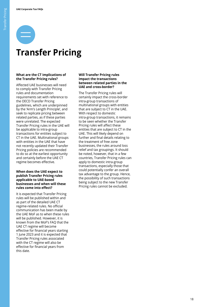## **Transfer Pricing**

### **What are the CT implications of the Transfer Pricing rules?**

Affected UAE businesses will need to comply with Transfer Pricing rules and documentation requirements set with reference to the OECD Transfer Pricing guidelines, which are underpinned by the 'Arm's Length Principle', and seek to replicate pricing between related parties, as if these parties were unrelated. The expected Transfer Pricing rules in the UAE will be applicable to intra-group transactions for entities subject to CT in the UAE. Multinational groups with entities in the UAE that have not recently updated their Transfer Pricing policies are recommended to do so at the earliest opportunity and certainly before the UAE CT regime becomes effective.

#### **When does the UAE expect to publish Transfer Pricing rules applicable to UAE-based businesses and when will these rules come into effect?**

It is expected that Transfer Pricing rules will be published within and as part of the detailed UAE CT regime-related rules. No official communication has been made by the UAE MoF as to when these rules will be published. However, it is known from the MoF's FAQ that the UAE CT regime will become effective for financial years starting 1 June 2023 and it is expected that Transfer Pricing rules associated with the CT regime will also be effective for financial years from this date.

#### **Will Transfer Pricing rules impact the transactions between related parties in the UAE and cross-border?**

The Transfer Pricing rules will certainly impact the cross-border intra-group transactions of multinational groups with entities that are subject to CT in the UAE. With respect to domestic intra-group transactions, it remains to be seen whether the Transfer Pricing rules will affect these entities that are subject to CT in the UAE. This will likely depend on further and final details relating to the treatment of free zone businesses, the rules around loss relief and tax groupings. It should be noted, however, that in a few countries, Transfer Pricing rules can apply to domestic intra-group transactions, especially those that could potentially confer an overall tax advantage to the group. Hence, the possibility of such transactions being subject to the new Transfer Pricing rules cannot be excluded.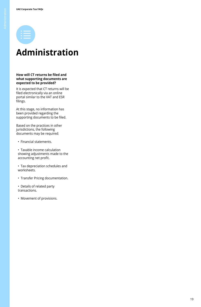

### **Administration**

#### **How will CT returns be filed and what supporting documents are expected to be provided?**

It is expected that CT returns will be filed electronically via an online portal similar to the VAT and ESR filings.

At this stage, no information has been provided regarding the supporting documents to be filed.

Based on the practices in other jurisdictions, the following documents may be required:

- Financial statements.
- Taxable income calculation showing adjustments made to the accounting net profit.
- Tax depreciation schedules and worksheets.
- Transfer Pricing documentation.
- Details of related party transactions.
- Movement of provisions.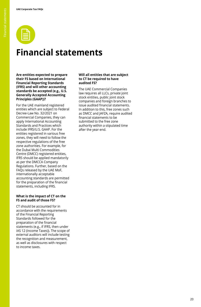### **Financial statements**

**Are entities expected to prepare their FS based on International Financial Reporting Standards (IFRS) and will other accounting standards be accepted (e.g., U.S. Generally Accepted Accounting Principles (GAAP))?**

For the UAE mainland registered entities which are subject to Federal Decree-Law No. 32/2021 on Commercial Companies, they can apply International Accounting Standards and Practices which include IFRS/U.S. GAAP. For the entities registered in various free zones, they will need to follow the respective regulations of the free zone authorities. For example, for the Dubai Multi Commodities Centre (DMCC) registered entities, IFRS should be applied mandatorily as per the DMCCA Company Regulations. Further, based on the FAQs released by the UAE MoF, internationally acceptable accounting standards are permitted for the preparation of the financial statements, including IFRS.

### **What is the impact of CT on the FS and audit of those FS?**

CT should be accounted for in accordance with the requirements of the Financial Reporting Standards followed for the preparation of the financial statements (e.g., if IFRS, then under IAS 12 (Income Taxes)). The scope of external auditors will include testing the recognition and measurement, as well as disclosures with respect to income taxes.

#### **Will all entities that are subject to CT be required to have audited FS?**

The UAE Commercial Companies law requires all LLCs, private joint stock entities, public joint stock companies and foreign branches to issue audited financial statements. In addition to this, free zones such as DMCC and JAFZA, require audited financial statements to be submitted to the free zone authority within a stipulated time after the year-end.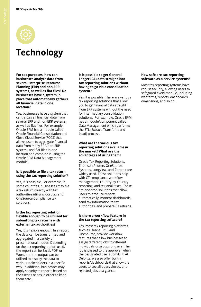

### **Technology**

**For tax purposes, how can businesses analyze data from several Enterprise Resource Planning (ERP) and non-ERP systems, as well as flat files? Do businesses have a system in place that automatically gathers all financial data in one location?**

Yes, businesses have a system that centralizes all financial data from several ERP and non-ERP systems, as well as flat files. For example, Oracle EPM has a module called Oracle Financial Consolidation and Close Cloud Service (FCCS) that allows users to aggregate financial data from many ERP/non-ERP systems and flat files in one location and combine it using the Oracle EPM Data Management module.

### **Is it possible to file a tax return using the tax reporting solution?**

Yes, it is possible. For example, in some countries, businesses may file a tax return directly with tax authorities utilizing Corptax and OneSource Compliance tax solutions.

#### **Is the tax reporting solution flexible enough to be utilized for submitting tax returns with external tax authorities?**

Yes, it is flexible enough. In a report, the data can be transformed and aggregated in a variety of presentational modes. Depending on the tax reporting option used, the report can be Excel, PDF, or Word, and the output can be utilized to display the data to various stakeholders in a specific way. In addition, businesses may apply security to reports based on the client's needs in order to keep them safe.

#### **Is it possible to get General Ledger (GL) data straight into tax reporting solutions without having to go via a consolidation system?**

Yes, it is possible. There are various tax reporting solutions that allow you to get financial data straight from ERP systems without the need for intermediary consolidation solutions. For example, Oracle EPM has a module/component called Data Management which performs the ETL (Extract, Transform and Load) process.

### **What are the various tax reporting solutions available in the market? What are the advantages of using them?**

Oracle Tax Reporting Solutions, Thomson Reuters OneSource Systems, Longview, and Corptax are widely used. These solutions help with CT compliance, workflow management, country-by-country reporting, and regional taxes. These are one-stop solutions that allow users to produce reports automatically, monitor dashboards, send tax information to tax authorities, and prepare CT returns.

### **Is there a workflow feature in the tax reporting software?**

Yes, most tax reporting platforms, such as Oracle TRCS and OneSource, provide workflow features that allow businesses to assign different jobs to different individuals or groups of users. The job is passed to the approver when the designated user submits it. At Deloitte, we also offer built-in reports/dashboards that allow the users to see all open, closed, and rejected jobs at a glance.

#### **How safe are tax-reportingsoftware-as-a-service systems?**

Most tax reporting systems have robust security, allowing users to safeguard every module, including webforms, reports, dashboards, dimensions, and so on.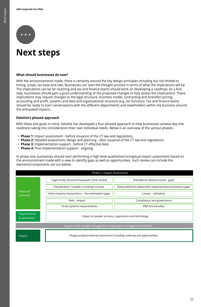

### **Next steps**

### **What should businesses do now?**

With the announcements made, there is certainty around the key design principles including but not limited to timing, scope, tax base and rate. Businesses can start the thought process in terms of what the implications will be. The implications can be far-reaching and tax and finance teams should work on developing a roadmap. As a first step, businesses should gain a good understanding of the proposed changes to fully assess the implications. These implications may require changes to the legal structure, business model, contracting and (transfer) pricing, accounting and profit, systems and data and organizational structure (e.g. tax function). Tax and finance teams should be ready to start conversations with the different departments and stakeholders within the business around the anticpated impacts.

### **Deloitte's phased approach**

With these end goals in mind, Deloitte has developed a four-phased approach to help businesses achieve day one readiness taking into consideration their own individual needs. Below is an overview of the various phases:

- **Phase 1:** Impact assessment before issuance of the CT law and regulations.
- **Phase 2:** Detailed assessment, design and planning after issuance of the CT law and regulations.
- **Phase 3:** Implementation support before CT effective date.
- **Phase 4:** Post-implementation support ongoing.

In phase one, businesses should start performing a high-level qualitative/conceptual impact assessment based on the announcement made with a view to identify gaps as well as opportunities. Such review can include the elements/components set out below:

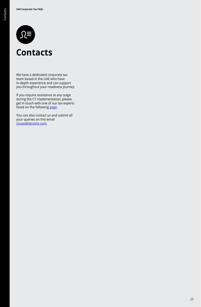

### **Contacts**

We have a dedicated corporate tax team based in the UAE who have in-depth experience and can support you throughout your readiness journey.

If you require assistance at any stage during the CT implementation, please get in touch with one of our tax experts listed on the following [page.](https://www2.deloitte.com/xe/en/pages/tax/articles/meet-deloitte-corporate-tax-team.html)

You can also contact us and submit all your queries on this email [cituae@deloitte.com.](mailto:cituae@deloitte.com)